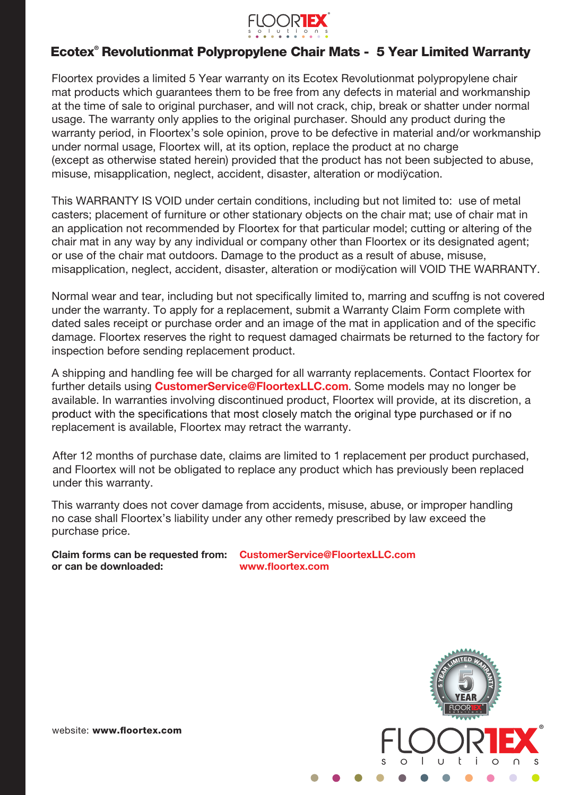

# Ecotex<sup>®</sup> Revolutionmat Polypropylene Chair Mats - 5 Year Limited Warranty

Floortex provides a limited 5 Year warranty on its Ecotex Revolutionmat polypropylene chair mat products which guarantees them to be free from any defects in material and workmanship at the time of sale to original purchaser, and will not crack, chip, break or shatter under normal usage. The warranty only applies to the original purchaser. Should any product during the warranty period, in Floortex's sole opinion, prove to be defective in material and/or workmanship under normal usage, Floortex will, at its option, replace the product at no charge (except as otherwise stated herein) provided that the product has not been subjected to abuse, misuse, misapplication, neglect, accident, disaster, alteration or modiÿcation.

This WARRANTY IS VOID under certain conditions, including but not limited to: use of metal casters; placement of furniture or other stationary objects on the chair mat; use of chair mat in an application not recommended by Floortex for that particular model; cutting or altering of the chair mat in any way by any individual or company other than Floortex or its designated agent; or use of the chair mat outdoors. Damage to the product as a result of abuse, misuse, misapplication, neglect, accident, disaster, alteration or modiÿcation will VOID THE WARRANTY.

Normal wear and tear, including but not specifically limited to, marring and scuffng is not covered under the warranty. To apply for a replacement, submit a Warranty Claim Form complete with dated sales receipt or purchase order and an image of the mat in application and of the specific damage. Floortex reserves the right to request damaged chairmats be returned to the factory for inspection before sending replacement product.

A shipping and handling fee will be charged for all warranty replacements. Contact Floortex for further details using **CustomerService@FloortexLLC.com**. Some models may no longer be available. In warranties involving discontinued product, Floortex will provide, at its discretion, a product with the specifications that most closely match the original type purchased or if no replacement is available, Floortex may retract the warranty.

After 12 months of purchase date, claims are limited to 1 replacement per product purchased, and Floortex will not be obligated to replace any product which has previously been replaced under this warranty.

This warranty does not cover damage from accidents, misuse, abuse, or improper handling no case shall Floortex's liability under any other remedy prescribed by law exceed the purchase price.

Claim forms can be requested from: CustomerService@FloortexLLC.com or can be downloaded: www.floortex.com



website: www.floortex.com